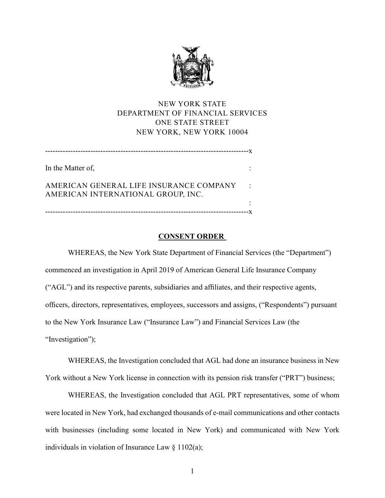

# NEW YORK STATE DEPARTMENT OF FINANCIAL SERVICES ONE STATE STREET NEW YORK, NEW YORK 10004

| In the Matter of,                                                             |  |
|-------------------------------------------------------------------------------|--|
| AMERICAN GENERAL LIFE INSURANCE COMPANY<br>AMERICAN INTERNATIONAL GROUP, INC. |  |
|                                                                               |  |
| -------------------                                                           |  |

## **CONSENT ORDER**

WHEREAS, the New York State Department of Financial Services (the "Department") commenced an investigation in April 2019 of American General Life Insurance Company ("AGL") and its respective parents, subsidiaries and affiliates, and their respective agents, officers, directors, representatives, employees, successors and assigns, ("Respondents") pursuant to the New York Insurance Law ("Insurance Law") and Financial Services Law (the "Investigation");

WHEREAS, the Investigation concluded that AGL had done an insurance business in New York without a New York license in connection with its pension risk transfer ("PRT") business;

WHEREAS, the Investigation concluded that AGL PRT representatives, some of whom were located in New York, had exchanged thousands of e-mail communications and other contacts with businesses (including some located in New York) and communicated with New York individuals in violation of Insurance Law  $\S 1102(a);$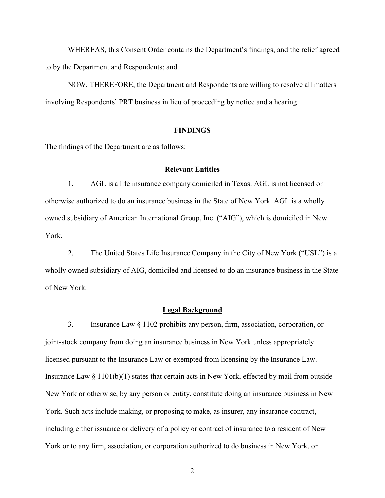WHEREAS, this Consent Order contains the Department's findings, and the relief agreed to by the Department and Respondents; and

NOW, THEREFORE, the Department and Respondents are willing to resolve all matters involving Respondents' PRT business in lieu of proceeding by notice and a hearing.

### **FINDINGS**

The findings of the Department are as follows:

#### **Relevant Entities**

1. AGL is a life insurance company domiciled in Texas. AGL is not licensed or otherwise authorized to do an insurance business in the State of New York. AGL is a wholly owned subsidiary of American International Group, Inc. ("AIG"), which is domiciled in New York.

2. The United States Life Insurance Company in the City of New York ("USL") is a wholly owned subsidiary of AIG, domiciled and licensed to do an insurance business in the State of New York.

### **Legal Background**

3. Insurance Law § 1102 prohibits any person, firm, association, corporation, or joint-stock company from doing an insurance business in New York unless appropriately licensed pursuant to the Insurance Law or exempted from licensing by the Insurance Law. Insurance Law § 1101(b)(1) states that certain acts in New York, effected by mail from outside New York or otherwise, by any person or entity, constitute doing an insurance business in New York. Such acts include making, or proposing to make, as insurer, any insurance contract, including either issuance or delivery of a policy or contract of insurance to a resident of New York or to any firm, association, or corporation authorized to do business in New York, or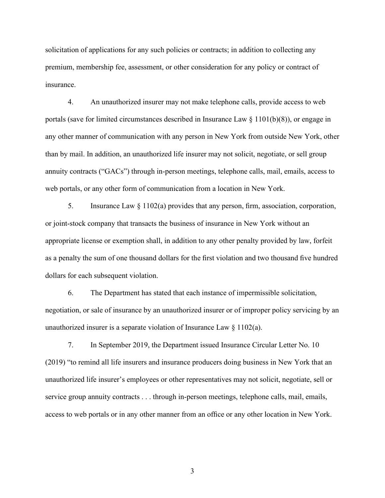solicitation of applications for any such policies or contracts; in addition to collecting any premium, membership fee, assessment, or other consideration for any policy or contract of insurance.

4. An unauthorized insurer may not make telephone calls, provide access to web portals (save for limited circumstances described in Insurance Law  $\S$  1101(b)(8)), or engage in any other manner of communication with any person in New York from outside New York, other than by mail. In addition, an unauthorized life insurer may not solicit, negotiate, or sell group annuity contracts ("GACs") through in-person meetings, telephone calls, mail, emails, access to web portals, or any other form of communication from a location in New York.

5. Insurance Law § 1102(a) provides that any person, firm, association, corporation, or joint-stock company that transacts the business of insurance in New York without an appropriate license or exemption shall, in addition to any other penalty provided by law, forfeit as a penalty the sum of one thousand dollars for the first violation and two thousand five hundred dollars for each subsequent violation.

6. The Department has stated that each instance of impermissible solicitation, negotiation, or sale of insurance by an unauthorized insurer or of improper policy servicing by an unauthorized insurer is a separate violation of Insurance Law § 1102(a).

7. In September 2019, the Department issued Insurance Circular Letter No. 10 (2019) "to remind all life insurers and insurance producers doing business in New York that an unauthorized life insurer's employees or other representatives may not solicit, negotiate, sell or service group annuity contracts . . . through in-person meetings, telephone calls, mail, emails, access to web portals or in any other manner from an office or any other location in New York.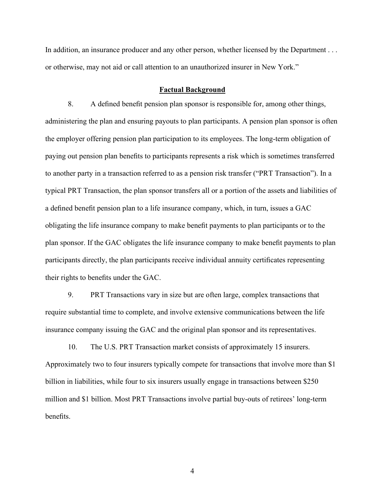In addition, an insurance producer and any other person, whether licensed by the Department . . . or otherwise, may not aid or call attention to an unauthorized insurer in New York."

#### **Factual Background**

8. A defined benefit pension plan sponsor is responsible for, among other things, administering the plan and ensuring payouts to plan participants. A pension plan sponsor is often the employer offering pension plan participation to its employees. The long-term obligation of paying out pension plan benefits to participants represents a risk which is sometimes transferred to another party in a transaction referred to as a pension risk transfer ("PRT Transaction"). In a typical PRT Transaction, the plan sponsor transfers all or a portion of the assets and liabilities of a defined benefit pension plan to a life insurance company, which, in turn, issues a GAC obligating the life insurance company to make benefit payments to plan participants or to the plan sponsor. If the GAC obligates the life insurance company to make benefit payments to plan participants directly, the plan participants receive individual annuity certificates representing their rights to benefits under the GAC.

9. PRT Transactions vary in size but are often large, complex transactions that require substantial time to complete, and involve extensive communications between the life insurance company issuing the GAC and the original plan sponsor and its representatives.

10. The U.S. PRT Transaction market consists of approximately 15 insurers. Approximately two to four insurers typically compete for transactions that involve more than \$1 billion in liabilities, while four to six insurers usually engage in transactions between \$250 million and \$1 billion. Most PRT Transactions involve partial buy-outs of retirees' long-term benefits.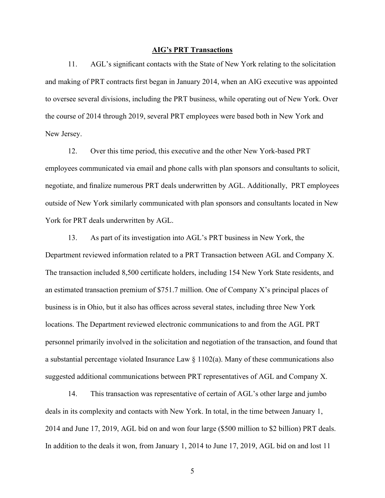#### **AIG's PRT Transactions**

11. AGL's significant contacts with the State of New York relating to the solicitation and making of PRT contracts first began in January 2014, when an AIG executive was appointed to oversee several divisions, including the PRT business, while operating out of New York. Over the course of 2014 through 2019, several PRT employees were based both in New York and New Jersey.

12. Over this time period, this executive and the other New York-based PRT employees communicated via email and phone calls with plan sponsors and consultants to solicit, negotiate, and finalize numerous PRT deals underwritten by AGL. Additionally, PRT employees outside of New York similarly communicated with plan sponsors and consultants located in New York for PRT deals underwritten by AGL.

13. As part of its investigation into AGL's PRT business in New York, the Department reviewed information related to a PRT Transaction between AGL and Company X. The transaction included 8,500 certificate holders, including 154 New York State residents, and an estimated transaction premium of \$751.7 million. One of Company X's principal places of business is in Ohio, but it also has offices across several states, including three New York locations. The Department reviewed electronic communications to and from the AGL PRT personnel primarily involved in the solicitation and negotiation of the transaction, and found that a substantial percentage violated Insurance Law  $\S 1102(a)$ . Many of these communications also suggested additional communications between PRT representatives of AGL and Company X.

14. This transaction was representative of certain of AGL's other large and jumbo deals in its complexity and contacts with New York. In total, in the time between January 1, 2014 and June 17, 2019, AGL bid on and won four large (\$500 million to \$2 billion) PRT deals. In addition to the deals it won, from January 1, 2014 to June 17, 2019, AGL bid on and lost 11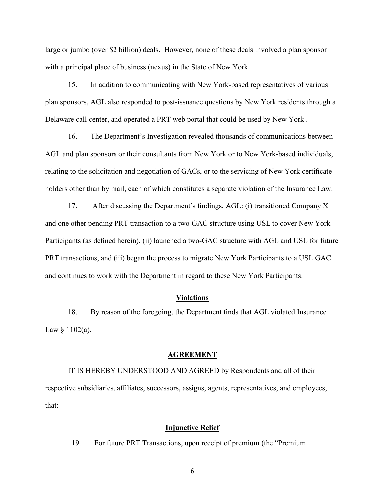large or jumbo (over \$2 billion) deals. However, none of these deals involved a plan sponsor with a principal place of business (nexus) in the State of New York.

15. In addition to communicating with New York-based representatives of various plan sponsors, AGL also responded to post-issuance questions by New York residents through a Delaware call center, and operated a PRT web portal that could be used by New York .

16. The Department's Investigation revealed thousands of communications between AGL and plan sponsors or their consultants from New York or to New York-based individuals, relating to the solicitation and negotiation of GACs, or to the servicing of New York certificate holders other than by mail, each of which constitutes a separate violation of the Insurance Law.

17. After discussing the Department's findings, AGL: (i) transitioned Company X and one other pending PRT transaction to a two-GAC structure using USL to cover New York Participants (as defined herein), (ii) launched a two-GAC structure with AGL and USL for future PRT transactions, and (iii) began the process to migrate New York Participants to a USL GAC and continues to work with the Department in regard to these New York Participants.

## **Violations**

18. By reason of the foregoing, the Department finds that AGL violated Insurance Law  $§$  1102(a).

#### **AGREEMENT**

IT IS HEREBY UNDERSTOOD AND AGREED by Respondents and all of their respective subsidiaries, affiliates, successors, assigns, agents, representatives, and employees, that:

## **Injunctive Relief**

19. For future PRT Transactions, upon receipt of premium (the "Premium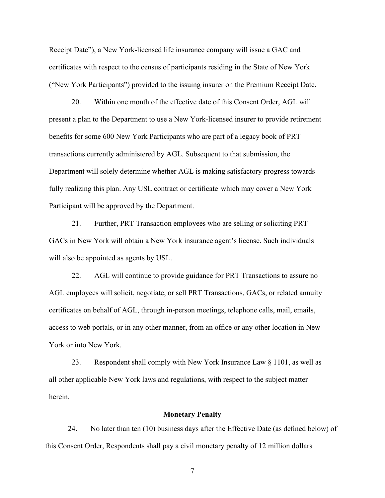Receipt Date"), a New York-licensed life insurance company will issue a GAC and certificates with respect to the census of participants residing in the State of New York ("New York Participants") provided to the issuing insurer on the Premium Receipt Date.

20. Within one month of the effective date of this Consent Order, AGL will present a plan to the Department to use a New York-licensed insurer to provide retirement benefits for some 600 New York Participants who are part of a legacy book of PRT transactions currently administered by AGL. Subsequent to that submission, the Department will solely determine whether AGL is making satisfactory progress towards fully realizing this plan. Any USL contract or certificate which may cover a New York Participant will be approved by the Department.

21. Further, PRT Transaction employees who are selling or soliciting PRT GACs in New York will obtain a New York insurance agent's license. Such individuals will also be appointed as agents by USL.

22. AGL will continue to provide guidance for PRT Transactions to assure no AGL employees will solicit, negotiate, or sell PRT Transactions, GACs, or related annuity certificates on behalf of AGL, through in-person meetings, telephone calls, mail, emails, access to web portals, or in any other manner, from an office or any other location in New York or into New York.

23. Respondent shall comply with New York Insurance Law  $\S 1101$ , as well as all other applicable New York laws and regulations, with respect to the subject matter herein.

## **Monetary Penalty**

24. No later than ten (10) business days after the Effective Date (as defined below) of this Consent Order, Respondents shall pay a civil monetary penalty of 12 million dollars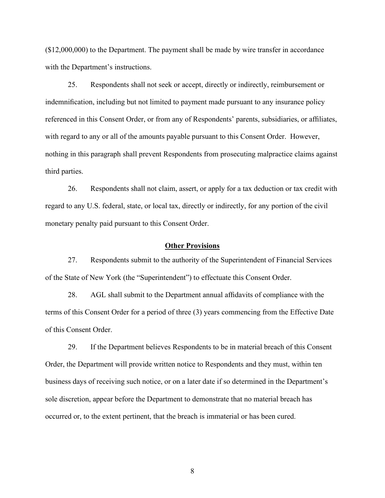(\$12,000,000) to the Department. The payment shall be made by wire transfer in accordance with the Department's instructions.

25. Respondents shall not seek or accept, directly or indirectly, reimbursement or indemnification, including but not limited to payment made pursuant to any insurance policy referenced in this Consent Order, or from any of Respondents' parents, subsidiaries, or affiliates, with regard to any or all of the amounts payable pursuant to this Consent Order. However, nothing in this paragraph shall prevent Respondents from prosecuting malpractice claims against third parties.

26. Respondents shall not claim, assert, or apply for a tax deduction or tax credit with regard to any U.S. federal, state, or local tax, directly or indirectly, for any portion of the civil monetary penalty paid pursuant to this Consent Order.

## **Other Provisions**

27. Respondents submit to the authority of the Superintendent of Financial Services of the State of New York (the "Superintendent") to effectuate this Consent Order.

28. AGL shall submit to the Department annual affidavits of compliance with the terms of this Consent Order for a period of three (3) years commencing from the Effective Date of this Consent Order.

<span id="page-7-0"></span>29. If the Department believes Respondents to be in material breach of this Consent Order, the Department will provide written notice to Respondents and they must, within ten business days of receiving such notice, or on a later date if so determined in the Department's sole discretion, appear before the Department to demonstrate that no material breach has occurred or, to the extent pertinent, that the breach is immaterial or has been cured.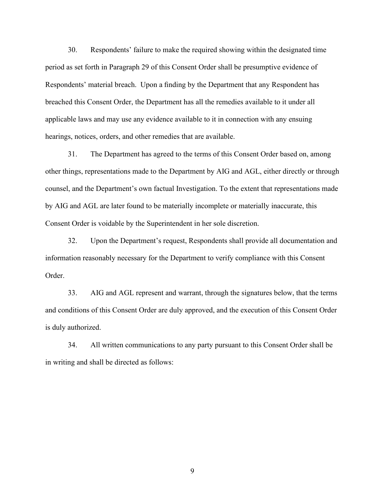30. Respondents' failure to make the required showing within the designated time period as set forth in Paragraph [29](#page-7-0) of this Consent Order shall be presumptive evidence of Respondents' material breach. Upon a finding by the Department that any Respondent has breached this Consent Order, the Department has all the remedies available to it under all applicable laws and may use any evidence available to it in connection with any ensuing hearings, notices, orders, and other remedies that are available.

31. The Department has agreed to the terms of this Consent Order based on, among other things, representations made to the Department by AIG and AGL, either directly or through counsel, and the Department's own factual Investigation. To the extent that representations made by AIG and AGL are later found to be materially incomplete or materially inaccurate, this Consent Order is voidable by the Superintendent in her sole discretion.

32. Upon the Department's request, Respondents shall provide all documentation and information reasonably necessary for the Department to verify compliance with this Consent Order.

33. AIG and AGL represent and warrant, through the signatures below, that the terms and conditions of this Consent Order are duly approved, and the execution of this Consent Order is duly authorized.

34. All written communications to any party pursuant to this Consent Order shall be in writing and shall be directed as follows: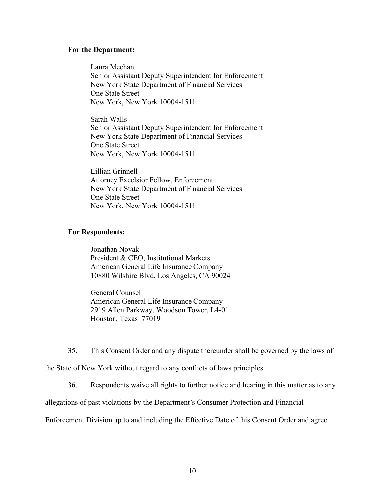#### **For the Department:**

Laura Meehan Senior Assistant Deputy Superintendent for Enforcement New York State Department of Financial Services One State Street New York, New York 10004-1511

Sarah Walls Senior Assistant Deputy Superintendent for Enforcement New York State Department of Financial Services One State Street New York, New York 10004-1511

Lillian Grinnell Attorney Excelsior Fellow, Enforcement New York State Department of Financial Services One State Street New York, New York 10004-1511

## **For Respondents:**

Jonathan Novak President & CEO, Institutional Markets American General Life Insurance Company 10880 Wilshire Blvd, Los Angeles, CA 90024

General Counsel American General Life Insurance Company 2919 Allen Parkway, Woodson Tower, L4-01 Houston, Texas 77019

35. This Consent Order and any dispute thereunder shall be governed by the laws of

the State of New York without regard to any conflicts of laws principles.

36. Respondents waive all rights to further notice and hearing in this matter as to any

allegations of past violations by the Department's Consumer Protection and Financial

Enforcement Division up to and including the Effective Date of this Consent Order and agree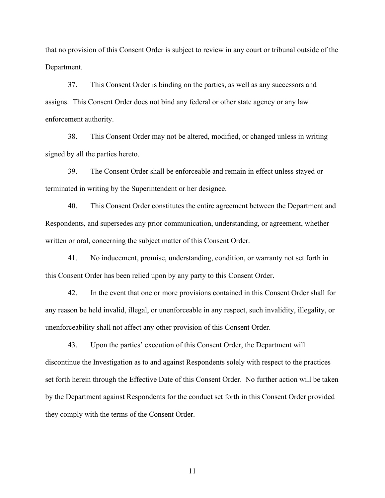that no provision of this Consent Order is subject to review in any court or tribunal outside of the Department.

37. This Consent Order is binding on the parties, as well as any successors and assigns. This Consent Order does not bind any federal or other state agency or any law enforcement authority.

38. This Consent Order may not be altered, modified, or changed unless in writing signed by all the parties hereto.

39. The Consent Order shall be enforceable and remain in effect unless stayed or terminated in writing by the Superintendent or her designee.

40. This Consent Order constitutes the entire agreement between the Department and Respondents, and supersedes any prior communication, understanding, or agreement, whether written or oral, concerning the subject matter of this Consent Order.

41. No inducement, promise, understanding, condition, or warranty not set forth in this Consent Order has been relied upon by any party to this Consent Order.

42. In the event that one or more provisions contained in this Consent Order shall for any reason be held invalid, illegal, or unenforceable in any respect, such invalidity, illegality, or unenforceability shall not affect any other provision of this Consent Order.

43. Upon the parties' execution of this Consent Order, the Department will discontinue the Investigation as to and against Respondents solely with respect to the practices set forth herein through the Effective Date of this Consent Order. No further action will be taken by the Department against Respondents for the conduct set forth in this Consent Order provided they comply with the terms of the Consent Order.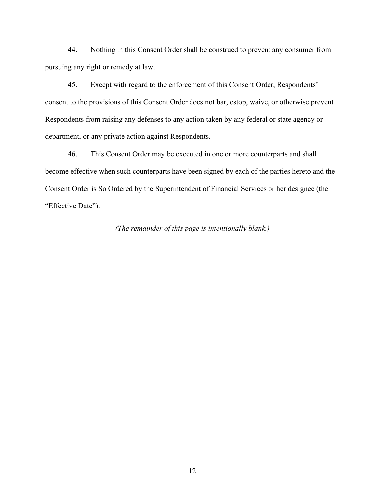44. Nothing in this Consent Order shall be construed to prevent any consumer from pursuing any right or remedy at law.

45. Except with regard to the enforcement of this Consent Order, Respondents' consent to the provisions of this Consent Order does not bar, estop, waive, or otherwise prevent Respondents from raising any defenses to any action taken by any federal or state agency or department, or any private action against Respondents.

46. This Consent Order may be executed in one or more counterparts and shall become effective when such counterparts have been signed by each of the parties hereto and the Consent Order is So Ordered by the Superintendent of Financial Services or her designee (the "Effective Date").

*(The remainder of this page is intentionally blank.)*